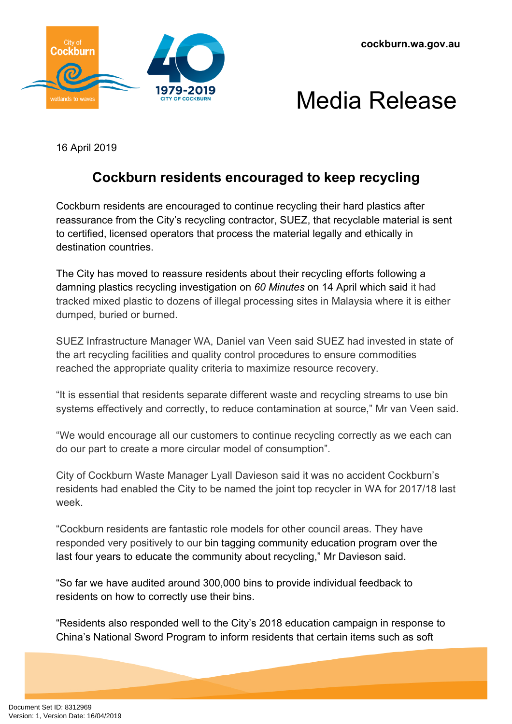



16 April 2019

## **Cockburn residents encouraged to keep recycling**

Cockburn residents are encouraged to continue recycling their hard plastics after reassurance from the City's recycling contractor, SUEZ, that recyclable material is sent to certified, licensed operators that process the material legally and ethically in destination countries.

The City has moved to reassure residents about their recycling efforts following a damning plastics recycling investigation on *60 Minutes* on 14 April which said it had tracked mixed plastic to dozens of illegal processing sites in Malaysia where it is either dumped, buried or burned.

SUEZ Infrastructure Manager WA, Daniel van Veen said SUEZ had invested in state of the art recycling facilities and quality control procedures to ensure commodities reached the appropriate quality criteria to maximize resource recovery.

"It is essential that residents separate different waste and recycling streams to use bin systems effectively and correctly, to reduce contamination at source," Mr van Veen said.

"We would encourage all our customers to continue recycling correctly as we each can do our part to create a more circular model of consumption".

City of Cockburn Waste Manager Lyall Davieson said it was no accident Cockburn's residents had enabled the City to be named the joint top recycler in WA for 2017/18 last week.

"Cockburn residents are fantastic role models for other council areas. They have responded very positively to our bin tagging community education program over the last four years to educate the community about recycling," Mr Davieson said.

"So far we have audited around 300,000 bins to provide individual feedback to residents on how to correctly use their bins.

"Residents also responded well to the City's 2018 education campaign in response to China's National Sword Program to inform residents that certain items such as soft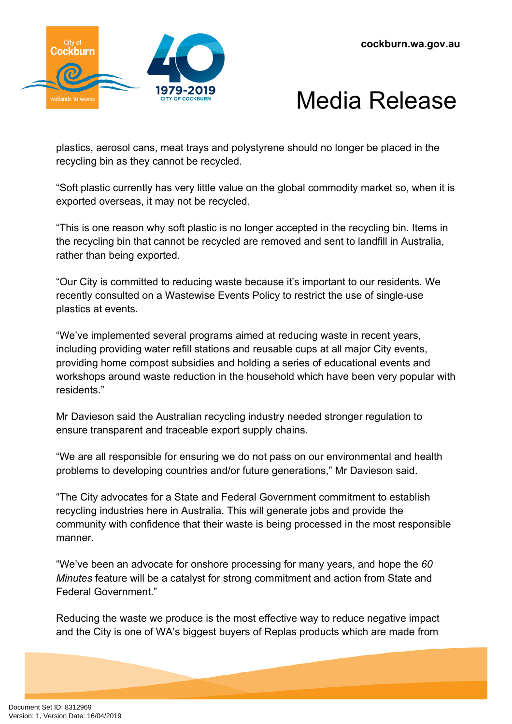



plastics, aerosol cans, meat trays and polystyrene should no longer be placed in the recycling bin as they cannot be recycled.

"Soft plastic currently has very little value on the global commodity market so, when it is exported overseas, it may not be recycled.

"This is one reason why soft plastic is no longer accepted in the recycling bin. Items in the recycling bin that cannot be recycled are removed and sent to landfill in Australia, rather than being exported.

"Our City is committed to reducing waste because it's important to our residents. We recently consulted on a Wastewise Events Policy to restrict the use of single-use plastics at events.

"We've implemented several programs aimed at reducing waste in recent years, including providing water refill stations and reusable cups at all major City events, providing home compost subsidies and holding a series of educational events and workshops around waste reduction in the household which have been very popular with residents."

Mr Davieson said the Australian recycling industry needed stronger regulation to ensure transparent and traceable export supply chains.

"We are all responsible for ensuring we do not pass on our environmental and health problems to developing countries and/or future generations," Mr Davieson said.

"The City advocates for a State and Federal Government commitment to establish recycling industries here in Australia. This will generate jobs and provide the community with confidence that their waste is being processed in the most responsible manner.

"We've been an advocate for onshore processing for many years, and hope the *60 Minutes* feature will be a catalyst for strong commitment and action from State and Federal Government."

Reducing the waste we produce is the most effective way to reduce negative impact and the City is one of WA's biggest buyers of Replas products which are made from